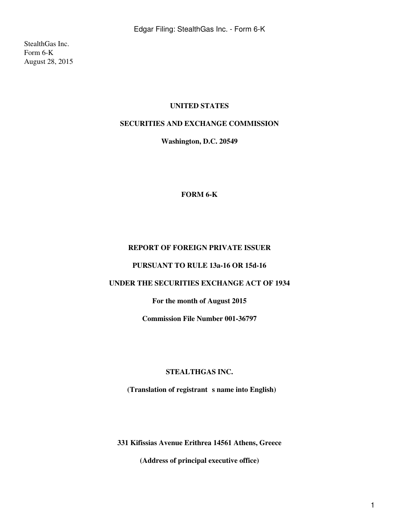StealthGas Inc. Form 6-K August 28, 2015

## **UNITED STATES**

# **SECURITIES AND EXCHANGE COMMISSION**

**Washington, D.C. 20549**

#### **FORM 6-K**

## **REPORT OF FOREIGN PRIVATE ISSUER**

#### **PURSUANT TO RULE 13a-16 OR 15d-16**

# **UNDER THE SECURITIES EXCHANGE ACT OF 1934**

# **For the month of August 2015**

**Commission File Number 001-36797**

#### **STEALTHGAS INC.**

(Translation of registrant s name into English)

**331 Kifissias Avenue Erithrea 14561 Athens, Greece**

**(Address of principal executive office)**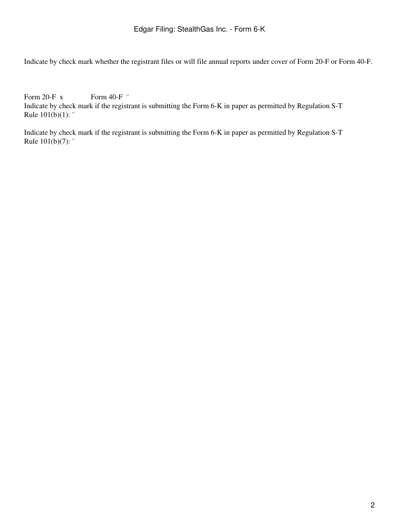Indicate by check mark whether the registrant files or will file annual reports under cover of Form 20-F or Form 40-F.

Form 20-F x Form 40-F  $\cdot$ Indicate by check mark if the registrant is submitting the Form 6-K in paper as permitted by Regulation S-T Rule 101(b)(1): "

Indicate by check mark if the registrant is submitting the Form 6-K in paper as permitted by Regulation S-T Rule 101(b)(7): ¨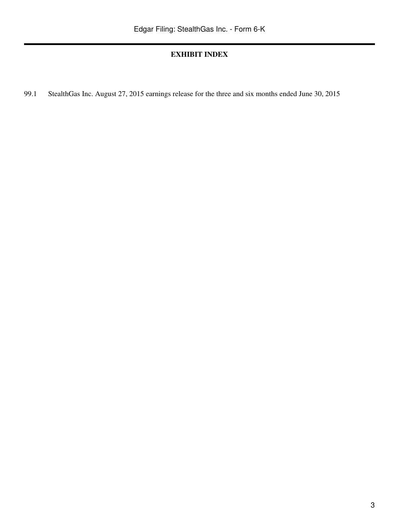# **EXHIBIT INDEX**

99.1 StealthGas Inc. August 27, 2015 earnings release for the three and six months ended June 30, 2015